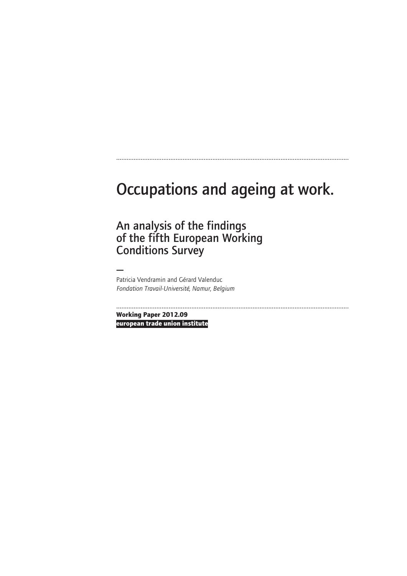# Occupations and ageing at work.

.....................................................................................................................................

An analysis of the findings of the fifth European Working Conditions Survey

— Patricia Vendramin and Gérard Valenduc *Fondation Travail-Université, Namur, Belgium*

..................................................................................................................................... **Working Paper 2012.09**

**european trade union institute**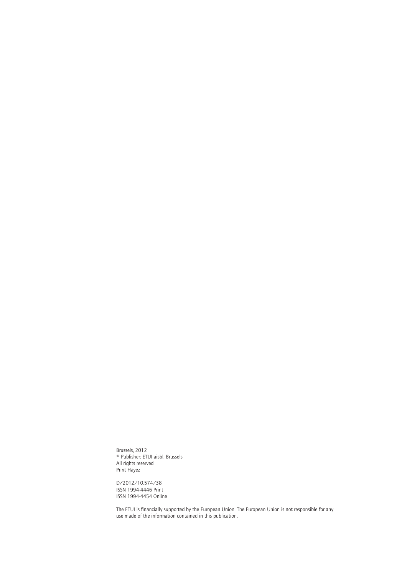Brussels, 2012 © Publisher: ETUI aisbl, Brussels All rights reserved Print Hayez

D/2012/10.574/38 ISSN 1994-4446 Print ISSN 1994-4454 Online

The ETUI is financially supported by the European Union. The European Union is not responsible for any use made of the information contained in this publication.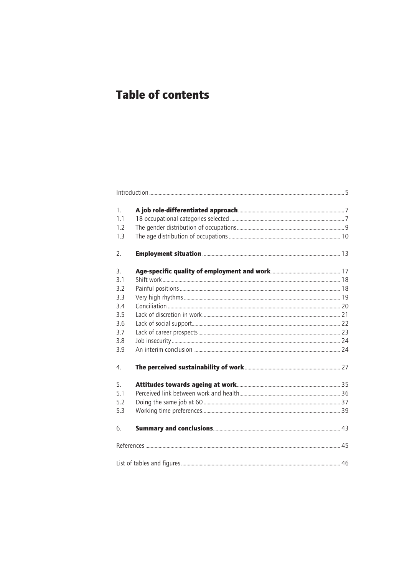# **Table of contents**

| $\mathbf{1}$ .   |  |
|------------------|--|
| 1.1              |  |
| 1.2              |  |
| 1.3              |  |
| 2.               |  |
| 3.               |  |
| 3.1              |  |
| 3.2              |  |
| 3.3              |  |
| 3.4              |  |
| 3.5              |  |
| 3.6              |  |
| 3.7              |  |
| 3.8              |  |
| 3.9              |  |
| $\overline{4}$ . |  |
| 5.               |  |
| 5.1              |  |
| 5.2              |  |
| 5.3              |  |
| 6.               |  |
|                  |  |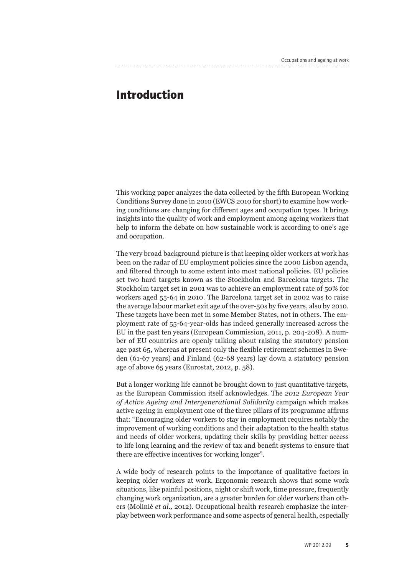### **Introduction**

This working paper analyzes the data collected by the fifth European Working Conditions Survey done in 2010 (EWCS 2010 for short) to examine how working conditions are changing for different ages and occupation types. It brings insights into the quality of work and employment among ageing workers that help to inform the debate on how sustainable work is according to one's age and occupation.

The very broad background picture is that keeping older workers at work has been on the radar of EU employment policies since the 2000 Lisbon agenda, and filtered through to some extent into most national policies. EU policies set two hard targets known as the Stockholm and Barcelona targets. The Stockholm target set in 2001 was to achieve an employment rate of 50% for workers aged 55-64 in 2010. The Barcelona target set in 2002 was to raise the average labour market exit age of the over-50s by five years, also by 2010. These targets have been met in some Member States, not in others. The employment rate of 55-64-year-olds has indeed generally increased across the EU in the past ten years (European Commission, 2011, p. 204-208). A number of EU countries are openly talking about raising the statutory pension age past 65, whereas at present only the flexible retirement schemes in Sweden (61-67 years) and Finland (62-68 years) lay down a statutory pension age of above 65 years (Eurostat, 2012, p. 58).

But a longer working life cannot be brought down to just quantitative targets, as the European Commission itself acknowledges. The *2012 European Year of Active Ageing and Intergenerational Solidarity* campaign which makes active ageing in employment one of the three pillars of its programme affirms that: "Encouraging older workers to stay in employment requires notably the improvement of working conditions and their adaptation to the health status and needs of older workers, updating their skills by providing better access to life long learning and the review of tax and benefit systems to ensure that there are effective incentives for working longer".

A wide body of research points to the importance of qualitative factors in keeping older workers at work. Ergonomic research shows that some work situations, like painful positions, night or shift work, time pressure, frequently changing work organization, are a greater burden for older workers than others (Molinié *et al.,* 2012). Occupational health research emphasize the interplay between work performance and some aspects of general health, especially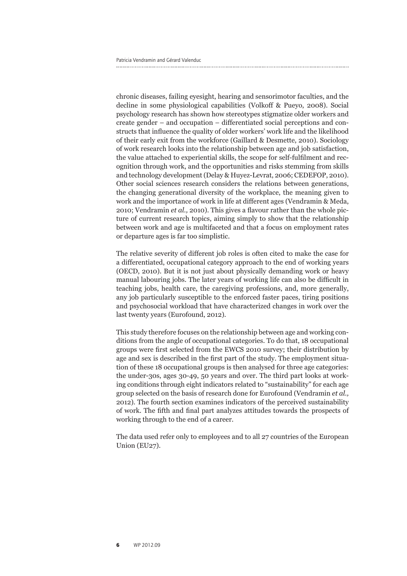chronic diseases, failing eyesight, hearing and sensorimotor faculties, and the decline in some physiological capabilities (Volkoff & Pueyo, 2008). Social psychology research has shown how stereotypes stigmatize older workers and create gender – and occupation – differentiated social perceptions and constructs that influence the quality of older workers' work life and the likelihood of their early exit from the workforce (Gaillard & Desmette, 2010). Sociology of work research looks into the relationship between age and job satisfaction, the value attached to experiential skills, the scope for self-fulfilment and recognition through work, and the opportunities and risks stemming from skills and technology development (Delay & Huyez-Levrat, 2006; CEDEFOP, 2010). Other social sciences research considers the relations between generations, the changing generational diversity of the workplace, the meaning given to work and the importance of work in life at different ages (Vendramin & Meda, 2010; Vendramin *et al.,* 2010). This gives a flavour rather than the whole picture of current research topics, aiming simply to show that the relationship between work and age is multifaceted and that a focus on employment rates or departure ages is far too simplistic.

The relative severity of different job roles is often cited to make the case for a differentiated, occupational category approach to the end of working years (OECD, 2010). But it is not just about physically demanding work or heavy manual labouring jobs. The later years of working life can also be difficult in teaching jobs, health care, the caregiving professions, and, more generally, any job particularly susceptible to the enforced faster paces, tiring positions and psychosocial workload that have characterized changes in work over the last twenty years (Eurofound, 2012).

This study therefore focuses on the relationship between age and working conditions from the angle of occupational categories. To do that, 18 occupational groups were first selected from the EWCS 2010 survey; their distribution by age and sex is described in the first part of the study. The employment situation of these 18 occupational groups is then analysed for three age categories: the under-30s, ages 30-49, 50 years and over. The third part looks at working conditions through eight indicators related to "sustainability" for each age group selected on the basis of research done for Eurofound (Vendramin *et al.,* 2012). The fourth section examines indicators of the perceived sustainability of work. The fifth and final part analyzes attitudes towards the prospects of working through to the end of a career.

The data used refer only to employees and to all 27 countries of the European Union (EU27).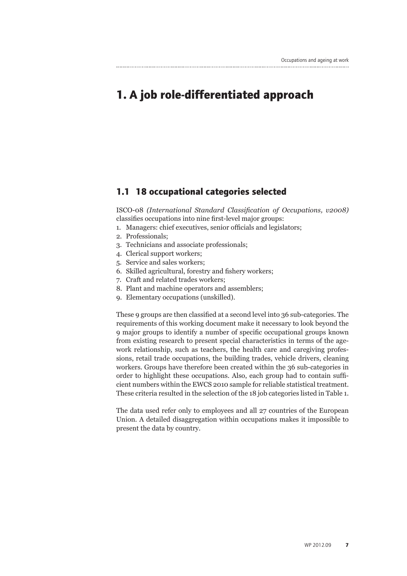## **1. A job role-differentiated approach**

#### **1.1 18 occupational categories selected**

ISCO-08 *(International Standard Classification of Occupations, v2008)* classifies occupations into nine first-level major groups:

- 1. Managers: chief executives, senior officials and legislators;
- 2. Professionals;
- 3. Technicians and associate professionals;
- 4. Clerical support workers;
- 5. Service and sales workers;
- 6. Skilled agricultural, forestry and fishery workers;
- 7. Craft and related trades workers;
- 8. Plant and machine operators and assemblers;
- 9. Elementary occupations (unskilled).

These 9 groups are then classified at a second level into 36 sub-categories. The requirements of this working document make it necessary to look beyond the 9 major groups to identify a number of specific occupational groups known from existing research to present special characteristics in terms of the agework relationship, such as teachers, the health care and caregiving professions, retail trade occupations, the building trades, vehicle drivers, cleaning workers. Groups have therefore been created within the 36 sub-categories in order to highlight these occupations. Also, each group had to contain sufficient numbers within the EWCS 2010 sample for reliable statistical treatment. These criteria resulted in the selection of the 18 job categories listed in Table 1.

The data used refer only to employees and all 27 countries of the European Union. A detailed disaggregation within occupations makes it impossible to present the data by country.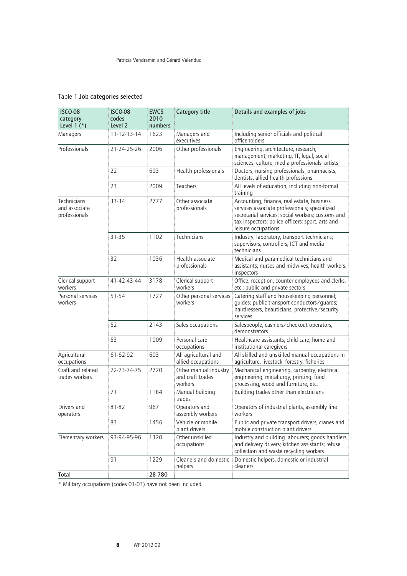| <b>ISCO-08</b><br>category<br>Level $1$ $(*)$ | <b>ISCO-08</b><br>codes<br>Level 2 | <b>EWCS</b><br>2010<br>numbers | <b>Category title</b>                                | Details and examples of jobs                                                                                                                                                                                                |
|-----------------------------------------------|------------------------------------|--------------------------------|------------------------------------------------------|-----------------------------------------------------------------------------------------------------------------------------------------------------------------------------------------------------------------------------|
| Managers                                      | $11 - 12 - 13 - 14$                | 1623                           | Managers and<br>executives                           | Including senior officials and political<br>officeholders                                                                                                                                                                   |
| Professionals                                 | 21-24-25-26                        | 2006                           | Other professionals                                  | Engineering, architecture, research,<br>management, marketing, IT, legal, social<br>sciences, culture, media professionals; artists                                                                                         |
|                                               | 22                                 | 693                            | Health professionals                                 | Doctors, nursing professionals, pharmacists,<br>dentists, allied health professions                                                                                                                                         |
|                                               | 23                                 | 2009                           | <b>Teachers</b>                                      | All levels of education, including non-formal<br>training                                                                                                                                                                   |
| Technicians<br>and associate<br>professionals | 33-34                              | 2777                           | Other associate<br>professionals                     | Accounting, finance, real estate, business<br>services associate professionals; specialized<br>secretarial services; social workers; customs and<br>tax inspectors; police officers; sport, arts and<br>leisure occupations |
|                                               | $31 - 35$                          | 1102                           | Technicians                                          | Industry, laboratory, transport technicians;<br>supervisors, controllers; ICT and media<br>technicians                                                                                                                      |
|                                               | 32                                 | 1036                           | Health associate<br>professionals                    | Medical and paramedical technicians and<br>assistants; nurses and midwives; health workers;<br>inspectors                                                                                                                   |
| Clerical support<br>workers                   | 41-42-43-44                        | 3178                           | Clerical support<br>workers                          | Office, reception, counter employees and clerks,<br>etc.; public and private sectors                                                                                                                                        |
| Personal services<br>workers                  | 51-54                              | 1727                           | Other personal services<br>workers                   | Catering staff and housekeeping personnel;<br>quides; public transport conductors/quards;<br>hairdressers, beauticians, protective/security<br>services                                                                     |
|                                               | 52                                 | 2143                           | Sales occupations                                    | Salespeople, cashiers/checkout operators,<br>demonstrators                                                                                                                                                                  |
|                                               | 53                                 | 1009                           | Personal care<br>occupations                         | Healthcare assistants, child care, home and<br>institutional caregivers                                                                                                                                                     |
| Agricultural<br>occupations                   | 61-62-92                           | 603                            | All agricultural and<br>allied occupations           | All skilled and unskilled manual occupations in<br>agriculture, livestock, forestry, fisheries                                                                                                                              |
| Craft and related<br>trades workers           | 72-73-74-75                        | 2720                           | Other manual industry<br>and craft trades<br>workers | Mechanical engineering, carpentry, electrical<br>engineering, metallurgy, printing, food<br>processing, wood and furniture, etc.                                                                                            |
|                                               | 71                                 | 1184                           | Manual building<br>trades                            | Building trades other than electricians                                                                                                                                                                                     |
| Drivers and<br>operators                      | 81-82                              | 967                            | Operators and<br>assembly workers                    | Operators of industrial plants, assembly line<br>workers                                                                                                                                                                    |
|                                               | 83                                 | 1456                           | Vehicle or mobile<br>plant drivers                   | Public and private transport drivers, cranes and<br>mobile construction plant drivers                                                                                                                                       |
| Elementary workers                            | 93-94-95-96                        | 1320                           | Other unskilled<br>occupations                       | Industry and building labourers; goods handlers<br>and delivery drivers; kitchen assistants; refuse<br>collection and waste recycling workers                                                                               |
|                                               | 91                                 | 1229                           | Cleaners and domestic<br>helpers                     | Domestic helpers, domestic or industrial<br>cleaners                                                                                                                                                                        |
| Total                                         |                                    | 28 7 80                        |                                                      |                                                                                                                                                                                                                             |

\* Military occupations (codes 01-03) have not been included.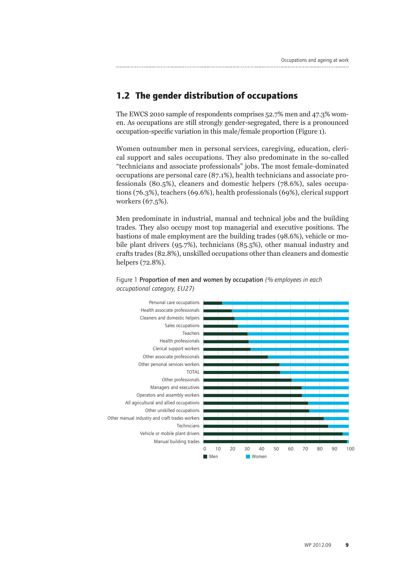### **1.2 The gender distribution of occupations**

The EWCS 2010 sample of respondents comprises 52.7% men and 47.3% women. As occupations are still strongly gender-segregated, there is a pronounced occupation-specific variation in this male/female proportion (Figure 1).

Women outnumber men in personal services, caregiving, education, clerical support and sales occupations. They also predominate in the so-called "technicians and associate professionals" jobs. The most female-dominated occupations are personal care (87.1%), health technicians and associate professionals (80.5%), cleaners and domestic helpers (78.6%), sales occupations (76.3%), teachers (69.6%), health professionals (69%), clerical support workers (67.5%).

Men predominate in industrial, manual and technical jobs and the building trades. They also occupy most top managerial and executive positions. The bastions of male employment are the building trades (98.6%), vehicle or mobile plant drivers (95.7%), technicians (85.5%), other manual industry and crafts trades (82.8%), unskilled occupations other than cleaners and domestic helpers (72.8%).



#### Figure 1 Proportion of men and women by occupation *(% employees in each occupational category, EU27)*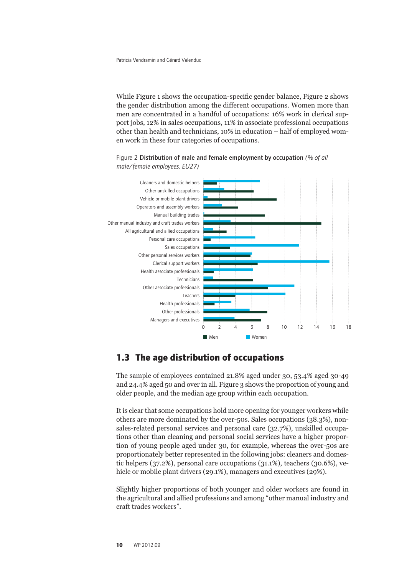While Figure 1 shows the occupation-specific gender balance, Figure 2 shows the gender distribution among the different occupations. Women more than men are concentrated in a handful of occupations: 16% work in clerical support jobs, 12% in sales occupations, 11% in associate professional occupations other than health and technicians, 10% in education – half of employed women work in these four categories of occupations.



Figure 2 Distribution of male and female employment by occupation *(% of all male/female employees, EU27)*

### **1.3 The age distribution of occupations**

The sample of employees contained 21.8% aged under 30, 53.4% aged 30-49 and 24.4% aged 50 and over in all. Figure 3 shows the proportion of young and older people, and the median age group within each occupation.

It is clear that some occupations hold more opening for younger workers while others are more dominated by the over-50s. Sales occupations (38.3%), nonsales-related personal services and personal care (32.7%), unskilled occupations other than cleaning and personal social services have a higher proportion of young people aged under 30, for example, whereas the over-50s are proportionately better represented in the following jobs: cleaners and domestic helpers (37.2%), personal care occupations (31.1%), teachers (30.6%), vehicle or mobile plant drivers (29.1%), managers and executives (29%).

Slightly higher proportions of both younger and older workers are found in the agricultural and allied professions and among "other manual industry and craft trades workers".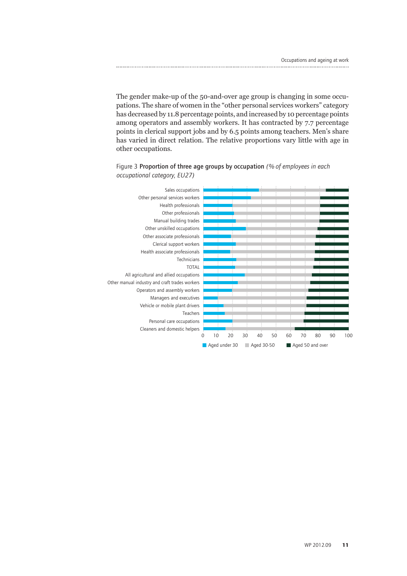The gender make-up of the 50-and-over age group is changing in some occupations. The share of women in the "other personal services workers" category has decreased by 11.8 percentage points, and increased by 10 percentage points among operators and assembly workers. It has contracted by 7.7 percentage points in clerical support jobs and by 6.5 points among teachers. Men's share has varied in direct relation. The relative proportions vary little with age in other occupations.



Figure 3 Proportion of three age groups by occupation *(% of employees in each occupational category, EU27)*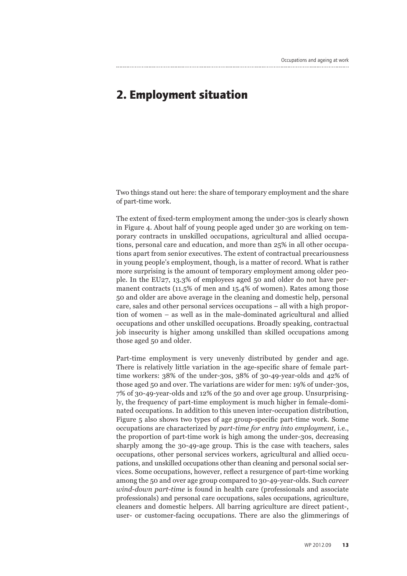### **2. Employment situation**

Two things stand out here: the share of temporary employment and the share of part-time work.

The extent of fixed-term employment among the under-30s is clearly shown in Figure 4. About half of young people aged under 30 are working on temporary contracts in unskilled occupations, agricultural and allied occupations, personal care and education, and more than 25% in all other occupations apart from senior executives. The extent of contractual precariousness in young people's employment, though, is a matter of record. What is rather more surprising is the amount of temporary employment among older people. In the EU27, 13.3% of employees aged 50 and older do not have permanent contracts (11.5% of men and 15.4% of women). Rates among those 50 and older are above average in the cleaning and domestic help, personal care, sales and other personal services occupations – all with a high proportion of women – as well as in the male-dominated agricultural and allied occupations and other unskilled occupations. Broadly speaking, contractual job insecurity is higher among unskilled than skilled occupations among those aged 50 and older.

Part-time employment is very unevenly distributed by gender and age. There is relatively little variation in the age-specific share of female parttime workers: 38% of the under-30s, 38% of 30-49-year-olds and 42% of those aged 50 and over. The variations are wider for men: 19% of under-30s, 7% of 30-49-year-olds and 12% of the 50 and over age group. Unsurprisingly, the frequency of part-time employment is much higher in female-dominated occupations. In addition to this uneven inter-occupation distribution, Figure 5 also shows two types of age group-specific part-time work. Some occupations are characterized by *part-time for entry into employment,* i.e., the proportion of part-time work is high among the under-30s, decreasing sharply among the 30-49-age group. This is the case with teachers, sales occupations, other personal services workers, agricultural and allied occupations, and unskilled occupations other than cleaning and personal social services. Some occupations, however, reflect a resurgence of part-time working among the 50 and over age group compared to 30-49-year-olds. Such *career wind-down part-time* is found in health care (professionals and associate professionals) and personal care occupations, sales occupations, agriculture, cleaners and domestic helpers. All barring agriculture are direct patient-, user- or customer-facing occupations. There are also the glimmerings of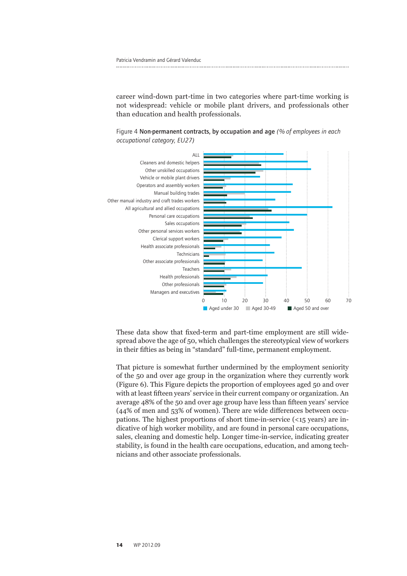career wind-down part-time in two categories where part-time working is not widespread: vehicle or mobile plant drivers, and professionals other than education and health professionals.

Figure 4 Non-permanent contracts, by occupation and age *(% of employees in each occupational category, EU27)*



These data show that fixed-term and part-time employment are still widespread above the age of 50, which challenges the stereotypical view of workers in their fifties as being in "standard" full-time, permanent employment.

That picture is somewhat further undermined by the employment seniority of the 50 and over age group in the organization where they currently work (Figure 6). This Figure depicts the proportion of employees aged 50 and over with at least fifteen years' service in their current company or organization. An average 48% of the 50 and over age group have less than fifteen years' service (44% of men and 53% of women). There are wide differences between occupations. The highest proportions of short time-in-service (<15 years) are indicative of high worker mobility, and are found in personal care occupations, sales, cleaning and domestic help. Longer time-in-service, indicating greater stability, is found in the health care occupations, education, and among technicians and other associate professionals.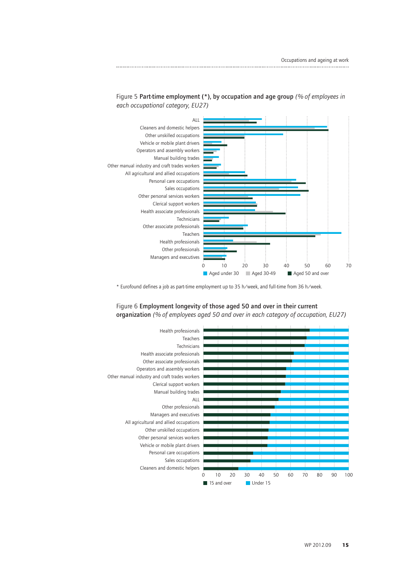



\* Eurofound defines a job as part-time employment up to 35 h/week, and full-time from 36 h/week.



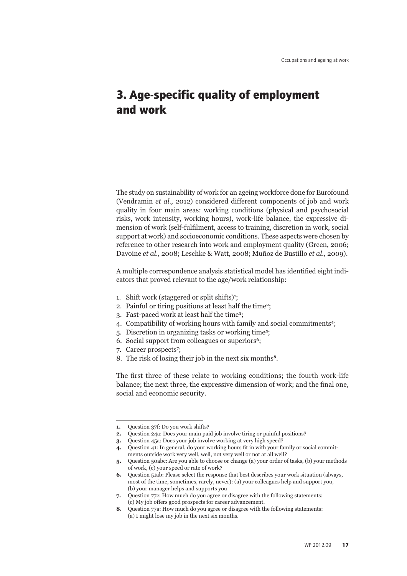## **3. Age-specific quality of employment and work**

The study on sustainability of work for an ageing workforce done for Eurofound (Vendramin *et al.,* 2012) considered different components of job and work quality in four main areas: working conditions (physical and psychosocial risks, work intensity, working hours), work-life balance, the expressive dimension of work (self-fulfilment, access to training, discretion in work, social support at work) and socioeconomic conditions. These aspects were chosen by reference to other research into work and employment quality (Green, 2006; Davoine *et al.,* 2008; Leschke & Watt, 2008; Muñoz de Bustillo *et al.,* 2009).

A multiple correspondence analysis statistical model has identified eight indicators that proved relevant to the age/work relationship:

- 1. Shift work (staggered or split shifts)**<sup>1</sup>** ;
- 2. Painful or tiring positions at least half the time**2**;
- 3. Fast-paced work at least half the time**3**;
- 4. Compatibility of working hours with family and social commitments**4**;
- 5. Discretion in organizing tasks or working time**5**;
- 6. Social support from colleagues or superiors**6**;
- 7. Career prospects**<sup>7</sup>** ;
- 8. The risk of losing their job in the next six months**8**.

The first three of these relate to working conditions; the fourth work-life balance; the next three, the expressive dimension of work; and the final one, social and economic security.

**<sup>1.</sup>** Question 37f: Do you work shifts?

**<sup>2.</sup>** Question 24a: Does your main paid job involve tiring or painful positions?

**<sup>3.</sup>** Question 45a: Does your job involve working at very high speed?

**<sup>4.</sup>** Question 41: In general, do your working hours fit in with your family or social commitments outside work very well, well, not very well or not at all well?

**<sup>5.</sup>** Question 50abc: Are you able to choose or change (a) your order of tasks, (b) your methods of work, (c) your speed or rate of work?

**<sup>6.</sup>** Question 51ab: Please select the response that best describes your work situation (always, most of the time, sometimes, rarely, never): (a) your colleagues help and support you, (b) your manager helps and supports you

**<sup>7.</sup>** Question 77c: How much do you agree or disagree with the following statements: (c) My job offers good prospects for career advancement.

**<sup>8.</sup>** Question 77a: How much do you agree or disagree with the following statements: (a) I might lose my job in the next six months.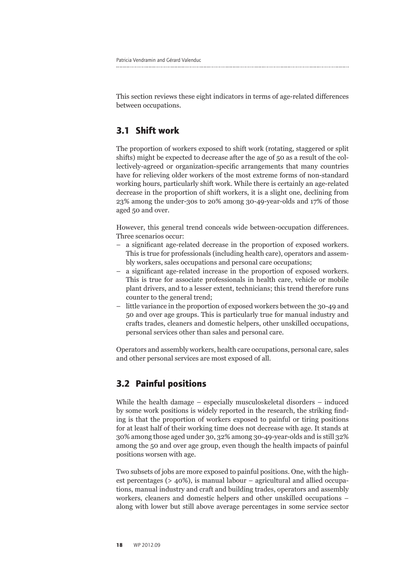Patricia Vendramin and Gérard Valenduc

This section reviews these eight indicators in terms of age-related differences between occupations.

#### **3.1 Shift work**

The proportion of workers exposed to shift work (rotating, staggered or split shifts) might be expected to decrease after the age of 50 as a result of the collectively-agreed or organization-specific arrangements that many countries have for relieving older workers of the most extreme forms of non-standard working hours, particularly shift work. While there is certainly an age-related decrease in the proportion of shift workers, it is a slight one, declining from 23% among the under-30s to 20% among 30-49-year-olds and 17% of those aged 50 and over.

However, this general trend conceals wide between-occupation differences. Three scenarios occur:

- a significant age-related decrease in the proportion of exposed workers. This is true for professionals (including health care), operators and assembly workers, sales occupations and personal care occupations;
- a significant age-related increase in the proportion of exposed workers. This is true for associate professionals in health care, vehicle or mobile plant drivers, and to a lesser extent, technicians; this trend therefore runs counter to the general trend;
- little variance in the proportion of exposed workers between the 30-49 and 50 and over age groups. This is particularly true for manual industry and crafts trades, cleaners and domestic helpers, other unskilled occupations, personal services other than sales and personal care.

Operators and assembly workers, health care occupations, personal care, sales and other personal services are most exposed of all.

### **3.2 Painful positions**

While the health damage – especially musculoskeletal disorders – induced by some work positions is widely reported in the research, the striking finding is that the proportion of workers exposed to painful or tiring positions for at least half of their working time does not decrease with age. It stands at 30% among those aged under 30, 32% among 30-49-year-olds and is still 32% among the 50 and over age group, even though the health impacts of painful positions worsen with age.

Two subsets of jobs are more exposed to painful positions. One, with the highest percentages (> 40%), is manual labour – agricultural and allied occupations, manual industry and craft and building trades, operators and assembly workers, cleaners and domestic helpers and other unskilled occupations – along with lower but still above average percentages in some service sector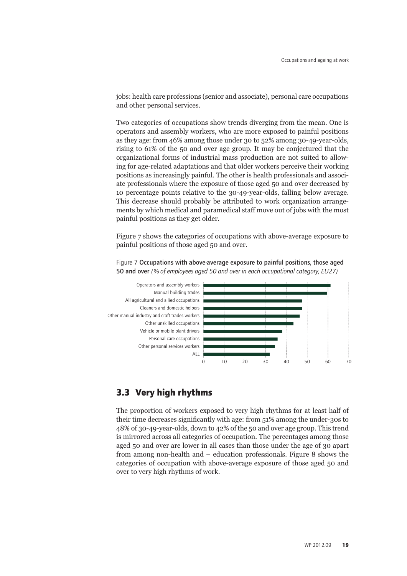jobs: health care professions (senior and associate), personal care occupations and other personal services.

Two categories of occupations show trends diverging from the mean. One is operators and assembly workers, who are more exposed to painful positions as they age: from 46% among those under 30 to 52% among 30-49-year-olds, rising to 61% of the 50 and over age group. It may be conjectured that the organizational forms of industrial mass production are not suited to allowing for age-related adaptations and that older workers perceive their working positions as increasingly painful. The other is health professionals and associate professionals where the exposure of those aged 50 and over decreased by 10 percentage points relative to the 30-49-year-olds, falling below average. This decrease should probably be attributed to work organization arrangements by which medical and paramedical staff move out of jobs with the most painful positions as they get older.

Figure 7 shows the categories of occupations with above-average exposure to painful positions of those aged 50 and over.



Figure 7 Occupations with above-average exposure to painful positions, those aged 50 and over *(% of employees aged 50 and over in each occupational category, EU27)*

#### **3.3 Very high rhythms**

The proportion of workers exposed to very high rhythms for at least half of their time decreases significantly with age: from 51% among the under-30s to 48% of 30-49-year-olds, down to 42% of the 50 and over age group. This trend is mirrored across all categories of occupation. The percentages among those aged 50 and over are lower in all cases than those under the age of 30 apart from among non-health and – education professionals. Figure 8 shows the categories of occupation with above-average exposure of those aged 50 and over to very high rhythms of work.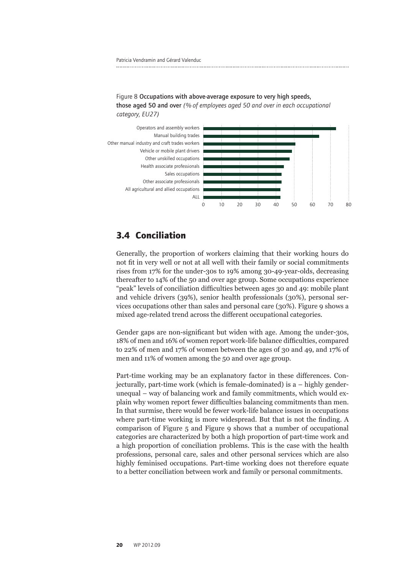Figure 8 Occupations with above-average exposure to very high speeds, those aged 50 and over *(% of employees aged 50 and over in each occupational category, EU27)*



#### **3.4 Conciliation**

Generally, the proportion of workers claiming that their working hours do not fit in very well or not at all well with their family or social commitments rises from 17% for the under-30s to 19% among 30-49-year-olds, decreasing thereafter to 14% of the 50 and over age group. Some occupations experience "peak" levels of conciliation difficulties between ages 30 and 49: mobile plant and vehicle drivers (39%), senior health professionals (30%), personal services occupations other than sales and personal care (30%). Figure 9 shows a mixed age-related trend across the different occupational categories.

Gender gaps are non-significant but widen with age. Among the under-30s, 18% of men and 16% of women report work-life balance difficulties, compared to 22% of men and 17% of women between the ages of 30 and 49, and 17% of men and 11% of women among the 50 and over age group.

Part-time working may be an explanatory factor in these differences. Conjecturally, part-time work (which is female-dominated) is a – highly genderunequal – way of balancing work and family commitments, which would explain why women report fewer difficulties balancing commitments than men. In that surmise, there would be fewer work-life balance issues in occupations where part-time working is more widespread. But that is not the finding. A comparison of Figure 5 and Figure 9 shows that a number of occupational categories are characterized by both a high proportion of part-time work and a high proportion of conciliation problems. This is the case with the health professions, personal care, sales and other personal services which are also highly feminised occupations. Part-time working does not therefore equate to a better conciliation between work and family or personal commitments.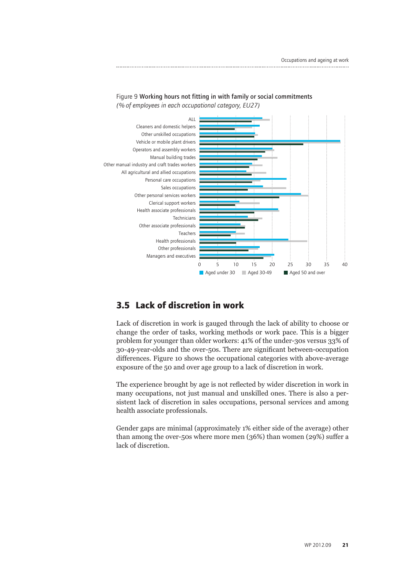

Figure 9 Working hours not fitting in with family or social commitments

### **3.5 Lack of discretion in work**

Lack of discretion in work is gauged through the lack of ability to choose or change the order of tasks, working methods or work pace. This is a bigger problem for younger than older workers: 41% of the under-30s versus 33% of 30-49-year-olds and the over-50s. There are significant between-occupation differences. Figure 10 shows the occupational categories with above-average exposure of the 50 and over age group to a lack of discretion in work.

The experience brought by age is not reflected by wider discretion in work in many occupations, not just manual and unskilled ones. There is also a persistent lack of discretion in sales occupations, personal services and among health associate professionals.

Gender gaps are minimal (approximately 1% either side of the average) other than among the over-50s where more men (36%) than women (29%) suffer a lack of discretion.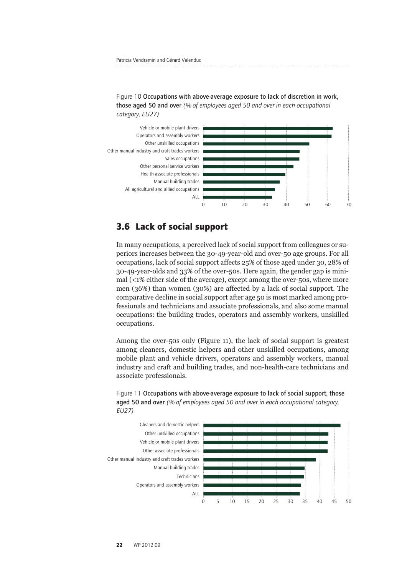



#### **3.6 Lack of social support**

In many occupations, a perceived lack of social support from colleagues or superiors increases between the 30-49-year-old and over-50 age groups. For all occupations, lack of social support affects 25% of those aged under 30, 28% of 30-49-year-olds and 33% of the over-50s. Here again, the gender gap is minimal (<1% either side of the average), except among the over-50s, where more men (36%) than women (30%) are affected by a lack of social support. The comparative decline in social support after age 50 is most marked among professionals and technicians and associate professionals, and also some manual occupations: the building trades, operators and assembly workers, unskilled occupations.

Among the over-50s only (Figure 11), the lack of social support is greatest among cleaners, domestic helpers and other unskilled occupations, among mobile plant and vehicle drivers, operators and assembly workers, manual industry and craft and building trades, and non-health-care technicians and associate professionals.



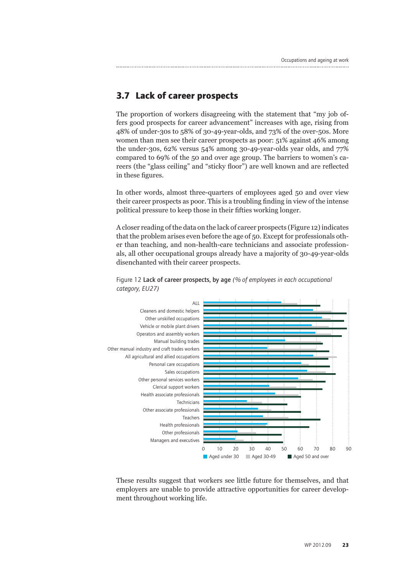### **3.7 Lack of career prospects**

The proportion of workers disagreeing with the statement that "my job offers good prospects for career advancement" increases with age, rising from 48% of under-30s to 58% of 30-49-year-olds, and 73% of the over-50s. More women than men see their career prospects as poor: 51% against 46% among the under-30s, 62% versus 54% among 30-49-year-olds year olds, and 77% compared to 69% of the 50 and over age group. The barriers to women's careers (the "glass ceiling" and "sticky floor") are well known and are reflected in these figures.

In other words, almost three-quarters of employees aged 50 and over view their career prospects as poor. This is a troubling finding in view of the intense political pressure to keep those in their fifties working longer.

A closer reading of the data on the lack of career prospects (Figure 12) indicates that the problem arises even before the age of 50. Except for professionals other than teaching, and non-health-care technicians and associate professionals, all other occupational groups already have a majority of 30-49-year-olds disenchanted with their career prospects.





These results suggest that workers see little future for themselves, and that employers are unable to provide attractive opportunities for career development throughout working life.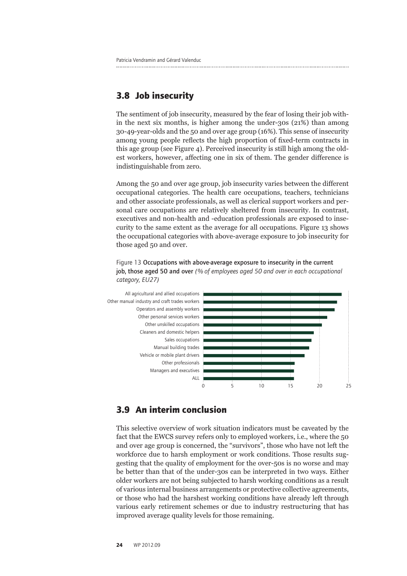#### **3.8 Job insecurity**

The sentiment of job insecurity, measured by the fear of losing their job within the next six months, is higher among the under-30s (21%) than among 30-49-year-olds and the 50 and over age group (16%). This sense of insecurity among young people reflects the high proportion of fixed-term contracts in this age group (see Figure 4). Perceived insecurity is still high among the oldest workers, however, affecting one in six of them. The gender difference is indistinguishable from zero.

Among the 50 and over age group, job insecurity varies between the different occupational categories. The health care occupations, teachers, technicians and other associate professionals, as well as clerical support workers and personal care occupations are relatively sheltered from insecurity. In contrast, executives and non-health and -education professionals are exposed to insecurity to the same extent as the average for all occupations. Figure 13 shows the occupational categories with above-average exposure to job insecurity for those aged 50 and over.





#### **3.9 An interim conclusion**

This selective overview of work situation indicators must be caveated by the fact that the EWCS survey refers only to employed workers, i.e., where the 50 and over age group is concerned, the "survivors", those who have not left the workforce due to harsh employment or work conditions. Those results suggesting that the quality of employment for the over-50s is no worse and may be better than that of the under-30s can be interpreted in two ways. Either older workers are not being subjected to harsh working conditions as a result of various internal business arrangements or protective collective agreements, or those who had the harshest working conditions have already left through various early retirement schemes or due to industry restructuring that has improved average quality levels for those remaining.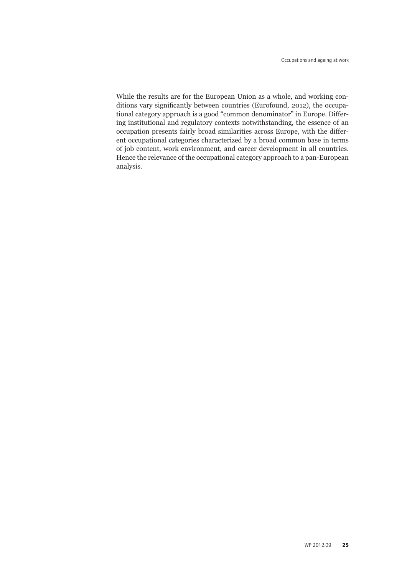While the results are for the European Union as a whole, and working conditions vary significantly between countries (Eurofound, 2012), the occupational category approach is a good "common denominator" in Europe. Differing institutional and regulatory contexts notwithstanding, the essence of an occupation presents fairly broad similarities across Europe, with the different occupational categories characterized by a broad common base in terms of job content, work environment, and career development in all countries. Hence the relevance of the occupational category approach to a pan-European analysis.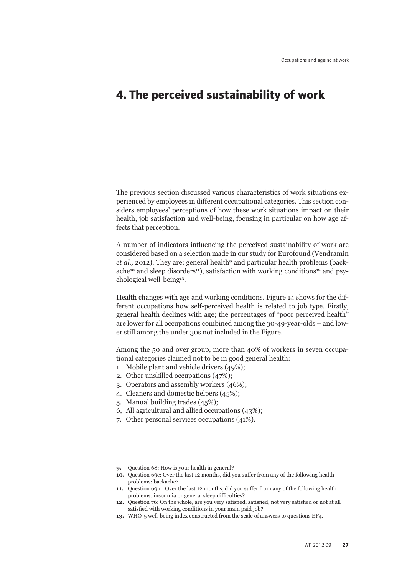## **4. The perceived sustainability of work**

The previous section discussed various characteristics of work situations experienced by employees in different occupational categories. This section considers employees' perceptions of how these work situations impact on their health, job satisfaction and well-being, focusing in particular on how age affects that perception.

A number of indicators influencing the perceived sustainability of work are considered based on a selection made in our study for Eurofound (Vendramin *et al.,* 2012). They are: general health<sup>9</sup> and particular health problems (backache**10** and sleep disorders**11**), satisfaction with working conditions**12** and psychological well-being**13**.

Health changes with age and working conditions. Figure 14 shows for the different occupations how self-perceived health is related to job type. Firstly, general health declines with age; the percentages of "poor perceived health" are lower for all occupations combined among the 30-49-year-olds – and lower still among the under 30s not included in the Figure.

Among the 50 and over group, more than 40% of workers in seven occupational categories claimed not to be in good general health:

- 1. Mobile plant and vehicle drivers (49%);
- 2. Other unskilled occupations (47%);
- 3. Operators and assembly workers (46%);
- 4. Cleaners and domestic helpers (45%);
- 5. Manual building trades (45%);
- 6, All agricultural and allied occupations (43%);
- 7. Other personal services occupations (41%).

**<sup>9.</sup>** Question 68: How is your health in general?

**<sup>10.</sup>** Question 69c: Over the last 12 months, did you suffer from any of the following health problems: backache?

**<sup>11.</sup>** Question 69m: Over the last 12 months, did you suffer from any of the following health problems: insomnia or general sleep difficulties?

**<sup>12.</sup>** Question 76: On the whole, are you very satisfied, satisfied, not very satisfied or not at all satisfied with working conditions in your main paid job?

**<sup>13.</sup>** WHO-5 well-being index constructed from the scale of answers to questions EF4.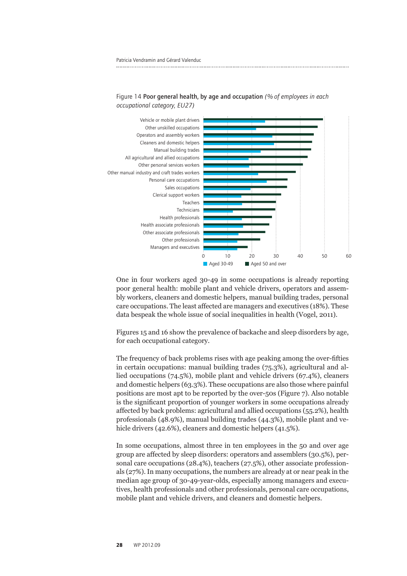

Figure 14 Poor general health, by age and occupation *(% of employees in each occupational category, EU27)*

One in four workers aged 30-49 in some occupations is already reporting poor general health: mobile plant and vehicle drivers, operators and assembly workers, cleaners and domestic helpers, manual building trades, personal care occupations. The least affected are managers and executives (18%). These data bespeak the whole issue of social inequalities in health (Vogel, 2011).

Figures 15 and 16 show the prevalence of backache and sleep disorders by age, for each occupational category.

The frequency of back problems rises with age peaking among the over-fifties in certain occupations: manual building trades (75.3%), agricultural and allied occupations (74.5%), mobile plant and vehicle drivers (67.4%), cleaners and domestic helpers (63.3%). These occupations are also those where painful positions are most apt to be reported by the over-50s (Figure 7). Also notable is the significant proportion of younger workers in some occupations already affected by back problems: agricultural and allied occupations (55.2%), health professionals (48.9%), manual building trades (44.3%), mobile plant and vehicle drivers (42.6%), cleaners and domestic helpers (41.5%).

In some occupations, almost three in ten employees in the 50 and over age group are affected by sleep disorders: operators and assemblers (30.5%), personal care occupations (28.4%), teachers (27.5%), other associate professionals (27%). In many occupations, the numbers are already at or near peak in the median age group of 30-49-year-olds, especially among managers and executives, health professionals and other professionals, personal care occupations, mobile plant and vehicle drivers, and cleaners and domestic helpers.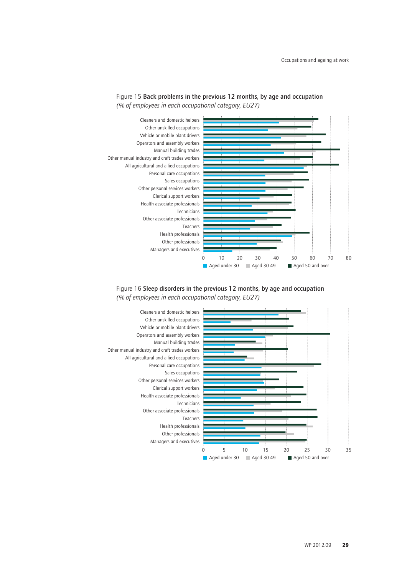

Figure 15 Back problems in the previous 12 months, by age and occupation *(% of employees in each occupational category, EU27)*

#### Figure 16 Sleep disorders in the previous 12 months, by age and occupation *(% of employees in each occupational category, EU27)*

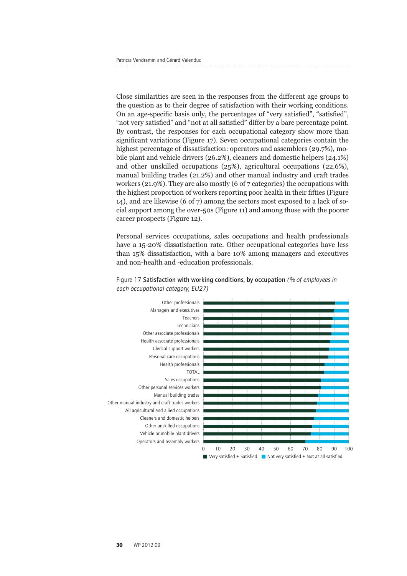Close similarities are seen in the responses from the different age groups to the question as to their degree of satisfaction with their working conditions. On an age-specific basis only, the percentages of "very satisfied", "satisfied", "not very satisfied" and "not at all satisfied" differ by a bare percentage point. By contrast, the responses for each occupational category show more than significant variations (Figure 17). Seven occupational categories contain the highest percentage of dissatisfaction: operators and assemblers (29.7%), mobile plant and vehicle drivers (26.2%), cleaners and domestic helpers (24.1%) and other unskilled occupations (25%), agricultural occupations (22.6%), manual building trades (21.2%) and other manual industry and craft trades workers (21.9%). They are also mostly (6 of 7 categories) the occupations with the highest proportion of workers reporting poor health in their fifties (Figure 14), and are likewise (6 of 7) among the sectors most exposed to a lack of social support among the over-50s (Figure 11) and among those with the poorer career prospects (Figure 12).

Personal services occupations, sales occupations and health professionals have a 15-20% dissatisfaction rate. Other occupational categories have less than 15% dissatisfaction, with a bare 10% among managers and executives and non-health and -education professionals.



#### Figure 17 Satisfaction with working conditions, by occupation *(% of employees in each occupational category, EU27)*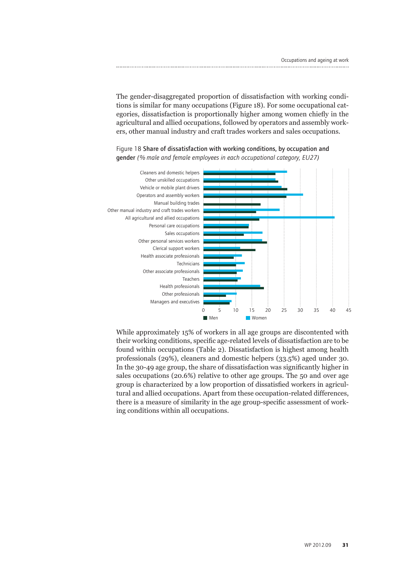The gender-disaggregated proportion of dissatisfaction with working conditions is similar for many occupations (Figure 18). For some occupational categories, dissatisfaction is proportionally higher among women chiefly in the agricultural and allied occupations, followed by operators and assembly workers, other manual industry and craft trades workers and sales occupations.



Figure 18 Share of dissatisfaction with working conditions, by occupation and gender *(% male and female employees in each occupational category, EU27)*

While approximately 15% of workers in all age groups are discontented with their working conditions, specific age-related levels of dissatisfaction are to be found within occupations (Table 2). Dissatisfaction is highest among health professionals (29%), cleaners and domestic helpers (33.5%) aged under 30. In the 30-49 age group, the share of dissatisfaction was significantly higher in sales occupations (20.6%) relative to other age groups. The 50 and over age group is characterized by a low proportion of dissatisfied workers in agricultural and allied occupations. Apart from these occupation-related differences, there is a measure of similarity in the age group-specific assessment of working conditions within all occupations.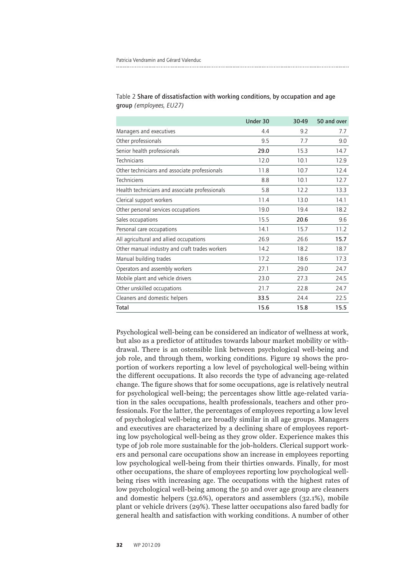|                                                | Under 30 | 30-49 | 50 and over |
|------------------------------------------------|----------|-------|-------------|
| Managers and executives                        | 4.4      | 9.2   | 7.7         |
| Other professionals                            | 9.5      | 7.7   | 9.0         |
| Senior health professionals                    | 29.0     | 15.3  | 14.7        |
| <b>Technicians</b>                             | 12.0     | 10.1  | 12.9        |
| Other technicians and associate professionals  | 11.8     | 10.7  | 12.4        |
| <b>Techniciens</b>                             | 8.8      | 10.1  | 12.7        |
| Health technicians and associate professionals | 5.8      | 12.2  | 13.3        |
| Clerical support workers                       | 11.4     | 13.0  | 14.1        |
| Other personal services occupations            | 19.0     | 19.4  | 18.2        |
| Sales occupations                              | 15.5     | 20.6  | 9.6         |
| Personal care occupations                      | 14.1     | 15.7  | 11.2        |
| All agricultural and allied occupations        | 26.9     | 26.6  | 15.7        |
| Other manual industry and craft trades workers | 14.2     | 18.2  | 18.7        |
| Manual building trades                         | 17.2     | 18.6  | 17.3        |
| Operators and assembly workers                 | 27.1     | 29.0  | 24.7        |
| Mobile plant and vehicle drivers               | 23.0     | 27.3  | 24.5        |
| Other unskilled occupations                    | 21.7     | 22.8  | 24.7        |
| Cleaners and domestic helpers                  | 33.5     | 24.4  | 22.5        |
| Total                                          | 15.6     | 15.8  | 15.5        |

#### Table 2 Share of dissatisfaction with working conditions, by occupation and age group *(employees, EU27)*

Psychological well-being can be considered an indicator of wellness at work, but also as a predictor of attitudes towards labour market mobility or withdrawal. There is an ostensible link between psychological well-being and job role, and through them, working conditions. Figure 19 shows the proportion of workers reporting a low level of psychological well-being within the different occupations. It also records the type of advancing age-related change. The figure shows that for some occupations, age is relatively neutral for psychological well-being; the percentages show little age-related variation in the sales occupations, health professionals, teachers and other professionals. For the latter, the percentages of employees reporting a low level of psychological well-being are broadly similar in all age groups. Managers and executives are characterized by a declining share of employees reporting low psychological well-being as they grow older. Experience makes this type of job role more sustainable for the job-holders. Clerical support workers and personal care occupations show an increase in employees reporting low psychological well-being from their thirties onwards. Finally, for most other occupations, the share of employees reporting low psychological wellbeing rises with increasing age. The occupations with the highest rates of low psychological well-being among the 50 and over age group are cleaners and domestic helpers (32.6%), operators and assemblers (32.1%), mobile plant or vehicle drivers (29%). These latter occupations also fared badly for general health and satisfaction with working conditions. A number of other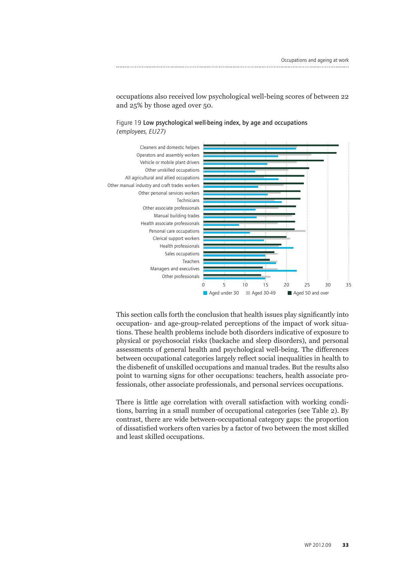

occupations also received low psychological well-being scores of between 22 and 25% by those aged over 50.

Figure 19 Low psychological well-being index, by age and occupations *(employees, EU27)*

This section calls forth the conclusion that health issues play significantly into occupation- and age-group-related perceptions of the impact of work situations. These health problems include both disorders indicative of exposure to physical or psychosocial risks (backache and sleep disorders), and personal assessments of general health and psychological well-being. The differences between occupational categories largely reflect social inequalities in health to the disbenefit of unskilled occupations and manual trades. But the results also point to warning signs for other occupations: teachers, health associate professionals, other associate professionals, and personal services occupations.

There is little age correlation with overall satisfaction with working conditions, barring in a small number of occupational categories (see Table 2). By contrast, there are wide between-occupational category gaps: the proportion of dissatisfied workers often varies by a factor of two between the most skilled and least skilled occupations.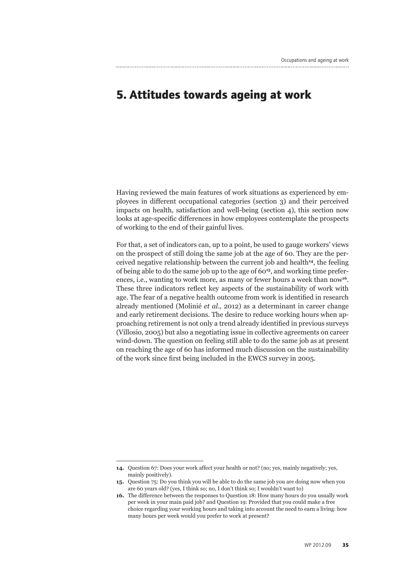## **5. Attitudes towards ageing at work**

Having reviewed the main features of work situations as experienced by employees in different occupational categories (section 3) and their perceived impacts on health, satisfaction and well-being (section 4), this section now looks at age-specific differences in how employees contemplate the prospects of working to the end of their gainful lives.

For that, a set of indicators can, up to a point, be used to gauge workers' views on the prospect of still doing the same job at the age of 60. They are the perceived negative relationship between the current job and health**14**, the feeling of being able to do the same job up to the age of 60**15**, and working time preferences, i.e., wanting to work more, as many or fewer hours a week than now<sup>16</sup>. These three indicators reflect key aspects of the sustainability of work with age. The fear of a negative health outcome from work is identified in research already mentioned (Molinié *et al.,* 2012) as a determinant in career change and early retirement decisions. The desire to reduce working hours when approaching retirement is not only a trend already identified in previous surveys (Villosio, 2005) but also a negotiating issue in collective agreements on career wind-down. The question on feeling still able to do the same job as at present on reaching the age of 60 has informed much discussion on the sustainability of the work since first being included in the EWCS survey in 2005.

**<sup>14.</sup>** Question 67: Does your work affect your health or not? (no; yes, mainly negatively; yes, mainly positively).

**<sup>15.</sup>** Question 75: Do you think you will be able to do the same job you are doing now when you are 60 years old? (yes, I think so; no, I don't think so; I wouldn't want to)

**<sup>16.</sup>** The difference between the responses to Question 18: How many hours do you usually work per week in your main paid job? and Question 19: Provided that you could make a free choice regarding your working hours and taking into account the need to earn a living: how many hours per week would you prefer to work at present?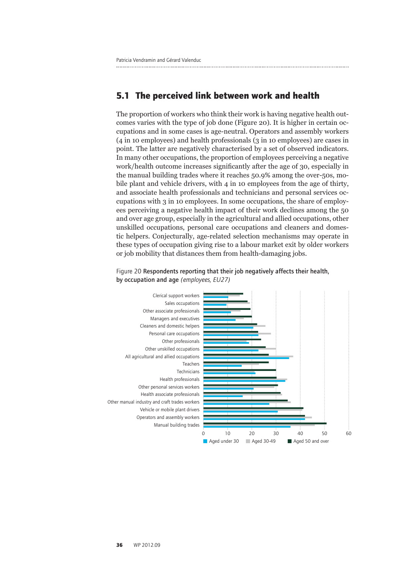#### **5.1 The perceived link between work and health**

The proportion of workers who think their work is having negative health outcomes varies with the type of job done (Figure 20). It is higher in certain occupations and in some cases is age-neutral. Operators and assembly workers (4 in 10 employees) and health professionals (3 in 10 employees) are cases in point. The latter are negatively characterised by a set of observed indicators. In many other occupations, the proportion of employees perceiving a negative work/health outcome increases significantly after the age of 30, especially in the manual building trades where it reaches 50.9% among the over-50s, mobile plant and vehicle drivers, with 4 in 10 employees from the age of thirty, and associate health professionals and technicians and personal services occupations with 3 in 10 employees. In some occupations, the share of employees perceiving a negative health impact of their work declines among the 50 and over age group, especially in the agricultural and allied occupations, other unskilled occupations, personal care occupations and cleaners and domestic helpers. Conjecturally, age-related selection mechanisms may operate in these types of occupation giving rise to a labour market exit by older workers or job mobility that distances them from health-damaging jobs.



Figure 20 Respondents reporting that their job negatively affects their health, by occupation and age *(employees, EU27)*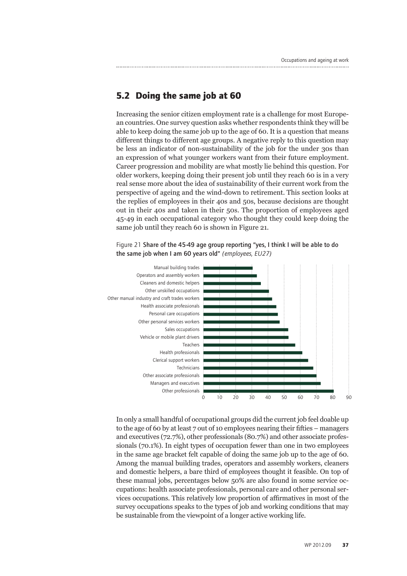#### **5.2 Doing the same job at 60**

Increasing the senior citizen employment rate is a challenge for most European countries. One survey question asks whether respondents think they will be able to keep doing the same job up to the age of 60. It is a question that means different things to different age groups. A negative reply to this question may be less an indicator of non-sustainability of the job for the under 30s than an expression of what younger workers want from their future employment. Career progression and mobility are what mostly lie behind this question. For older workers, keeping doing their present job until they reach 60 is in a very real sense more about the idea of sustainability of their current work from the perspective of ageing and the wind-down to retirement. This section looks at the replies of employees in their 40s and 50s, because decisions are thought out in their 40s and taken in their 50s. The proportion of employees aged 45-49 in each occupational category who thought they could keep doing the same job until they reach 60 is shown in Figure 21.



Figure 21 Share of the 45-49 age group reporting "yes, I think I will be able to do the same job when I am 60 years old" *(employees, EU27)*

In only a small handful of occupational groups did the current job feel doable up to the age of 60 by at least 7 out of 10 employees nearing their fifties – managers and executives (72.7%), other professionals (80.7%) and other associate professionals (70.1%). In eight types of occupation fewer than one in two employees in the same age bracket felt capable of doing the same job up to the age of 60. Among the manual building trades, operators and assembly workers, cleaners and domestic helpers, a bare third of employees thought it feasible. On top of these manual jobs, percentages below 50% are also found in some service occupations: health associate professionals, personal care and other personal services occupations. This relatively low proportion of affirmatives in most of the survey occupations speaks to the types of job and working conditions that may be sustainable from the viewpoint of a longer active working life.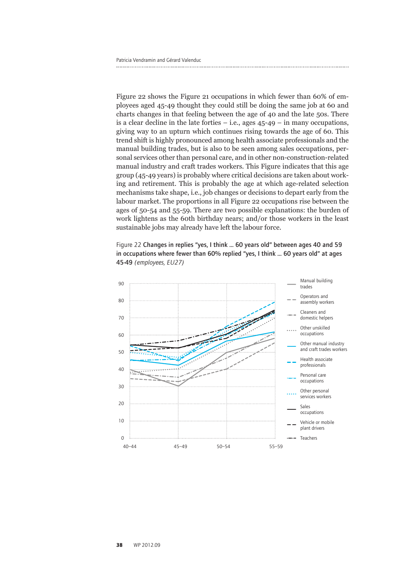Figure 22 shows the Figure 21 occupations in which fewer than 60% of employees aged 45-49 thought they could still be doing the same job at 60 and charts changes in that feeling between the age of 40 and the late 50s. There is a clear decline in the late forties  $-$  i.e., ages  $45-49 -$  in many occupations, giving way to an upturn which continues rising towards the age of 60. This trend shift is highly pronounced among health associate professionals and the manual building trades, but is also to be seen among sales occupations, personal services other than personal care, and in other non-construction-related manual industry and craft trades workers. This Figure indicates that this age group (45-49 years) is probably where critical decisions are taken about working and retirement. This is probably the age at which age-related selection mechanisms take shape, i.e., job changes or decisions to depart early from the labour market. The proportions in all Figure 22 occupations rise between the ages of 50-54 and 55-59. There are two possible explanations: the burden of work lightens as the 60th birthday nears; and/or those workers in the least sustainable jobs may already have left the labour force.

Figure 22 Changes in replies "yes, I think ... 60 years old" between ages 40 and 59 in occupations where fewer than 60% replied "yes, I think ... 60 years old" at ages 45-49 *(employees, EU27)*

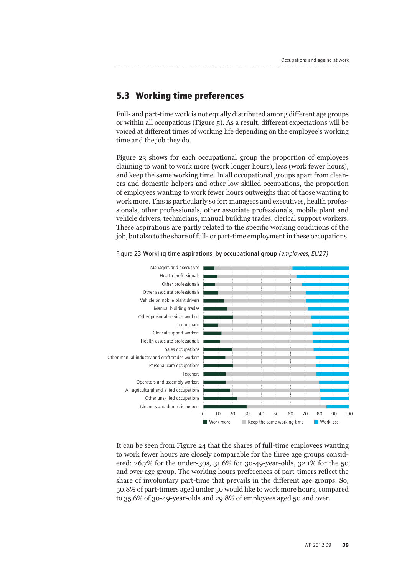### **5.3 Working time preferences**

Full- and part-time work is not equally distributed among different age groups or within all occupations (Figure 5). As a result, different expectations will be voiced at different times of working life depending on the employee's working time and the job they do.

Figure 23 shows for each occupational group the proportion of employees claiming to want to work more (work longer hours), less (work fewer hours), and keep the same working time. In all occupational groups apart from cleaners and domestic helpers and other low-skilled occupations, the proportion of employees wanting to work fewer hours outweighs that of those wanting to work more. This is particularly so for: managers and executives, health professionals, other professionals, other associate professionals, mobile plant and vehicle drivers, technicians, manual building trades, clerical support workers. These aspirations are partly related to the specific working conditions of the job, but also to the share of full- or part-time employment in these occupations.



Figure 23 Working time aspirations, by occupational group *(employees, EU27)*

It can be seen from Figure 24 that the shares of full-time employees wanting to work fewer hours are closely comparable for the three age groups considered: 26.7% for the under-30s, 31.6% for 30-49-year-olds, 32.1% for the 50 and over age group. The working hours preferences of part-timers reflect the share of involuntary part-time that prevails in the different age groups. So, 50.8% of part-timers aged under 30 would like to work more hours, compared to 35.6% of 30-49-year-olds and 29.8% of employees aged 50 and over.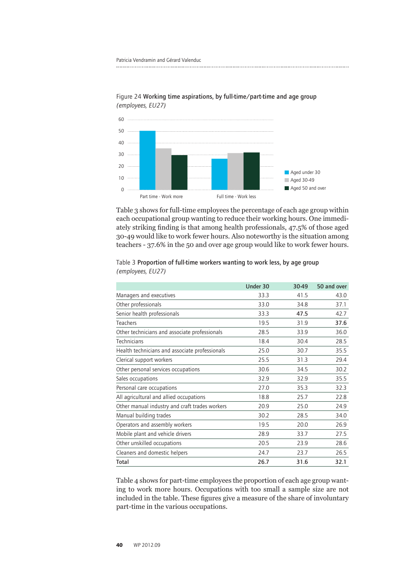

Figure 24 Working time aspirations, by full-time/part-time and age group *(employees, EU27)*

Table 3 shows for full-time employees the percentage of each age group within each occupational group wanting to reduce their working hours. One immediately striking finding is that among health professionals, 47.5% of those aged 30-49 would like to work fewer hours. Also noteworthy is the situation among teachers - 37.6% in the 50 and over age group would like to work fewer hours.

|                                                | Under 30 | 30-49 | 50 and over |
|------------------------------------------------|----------|-------|-------------|
| Managers and executives                        | 33.3     | 41.5  | 43.0        |
| Other professionals                            | 33.0     | 34.8  | 37.1        |
| Senior health professionals                    | 33.3     | 47.5  | 42.7        |
| <b>Teachers</b>                                | 19.5     | 31.9  | 37.6        |
| Other technicians and associate professionals  | 28.5     | 33.9  | 36.0        |
| Technicians                                    | 18.4     | 30.4  | 28.5        |
| Health technicians and associate professionals | 25.0     | 30.7  | 35.5        |
| Clerical support workers                       | 25.5     | 31.3  | 29.4        |
| Other personal services occupations            | 30.6     | 34.5  | 30.2        |
| Sales occupations                              | 32.9     | 32.9  | 35.5        |
| Personal care occupations                      | 27.0     | 35.3  | 32.3        |
| All agricultural and allied occupations        | 18.8     | 25.7  | 22.8        |
| Other manual industry and craft trades workers | 20.9     | 25.0  | 24.9        |
| Manual building trades                         | 30.2     | 28.5  | 34.0        |
| Operators and assembly workers                 | 19.5     | 20.0  | 26.9        |
| Mobile plant and vehicle drivers               | 28.9     | 33.7  | 27.5        |
| Other unskilled occupations                    | 20.5     | 23.9  | 28.6        |
| Cleaners and domestic helpers                  | 24.7     | 23.7  | 26.5        |
| Total                                          | 26.7     | 31.6  | 32.1        |

Table 3 Proportion of full-time workers wanting to work less, by age group *(employees, EU27)*

Table 4 shows for part-time employees the proportion of each age group wanting to work more hours. Occupations with too small a sample size are not included in the table. These figures give a measure of the share of involuntary part-time in the various occupations.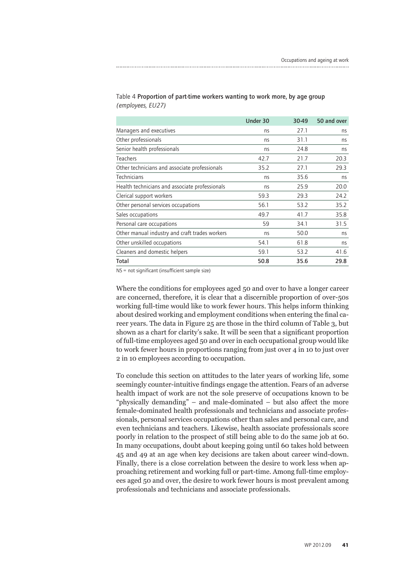|                                                | Under 30 | 30-49 | 50 and over |
|------------------------------------------------|----------|-------|-------------|
| Managers and executives                        | ns       | 27.1  | ns          |
| Other professionals                            | ns       | 31.1  | ns          |
| Senior health professionals                    | ns       | 24.8  | ns          |
| Teachers                                       | 42.7     | 21.7  | 20.3        |
| Other technicians and associate professionals  | 35.2     | 27.1  | 29.3        |
| Technicians                                    | ns       | 35.6  | ns          |
| Health technicians and associate professionals | ns       | 25.9  | 20.0        |
| Clerical support workers                       | 59.3     | 29.3  | 24.2        |
| Other personal services occupations            | 56.1     | 53.2  | 35.2        |
| Sales occupations                              | 49.7     | 41.7  | 35.8        |
| Personal care occupations                      | 59       | 34.1  | 31.5        |
| Other manual industry and craft trades workers | ns       | 50.0  | ns          |
| Other unskilled occupations                    | 54.1     | 61.8  | ns          |
| Cleaners and domestic helpers                  | 59.1     | 53.2  | 41.6        |
| Total                                          | 50.8     | 35.6  | 29.8        |

#### Table 4 Proportion of part-time workers wanting to work more, by age group *(employees, EU27)*

NS = not significant (insufficient sample size)

Where the conditions for employees aged 50 and over to have a longer career are concerned, therefore, it is clear that a discernible proportion of over-50s working full-time would like to work fewer hours. This helps inform thinking about desired working and employment conditions when entering the final career years. The data in Figure 25 are those in the third column of Table 3, but shown as a chart for clarity's sake. It will be seen that a significant proportion of full-time employees aged 50 and over in each occupational group would like to work fewer hours in proportions ranging from just over 4 in 10 to just over 2 in 10 employees according to occupation.

To conclude this section on attitudes to the later years of working life, some seemingly counter-intuitive findings engage the attention. Fears of an adverse health impact of work are not the sole preserve of occupations known to be "physically demanding" – and male-dominated – but also affect the more female-dominated health professionals and technicians and associate professionals, personal services occupations other than sales and personal care, and even technicians and teachers. Likewise, health associate professionals score poorly in relation to the prospect of still being able to do the same job at 60. In many occupations, doubt about keeping going until 60 takes hold between 45 and 49 at an age when key decisions are taken about career wind-down. Finally, there is a close correlation between the desire to work less when approaching retirement and working full or part-time. Among full-time employees aged 50 and over, the desire to work fewer hours is most prevalent among professionals and technicians and associate professionals.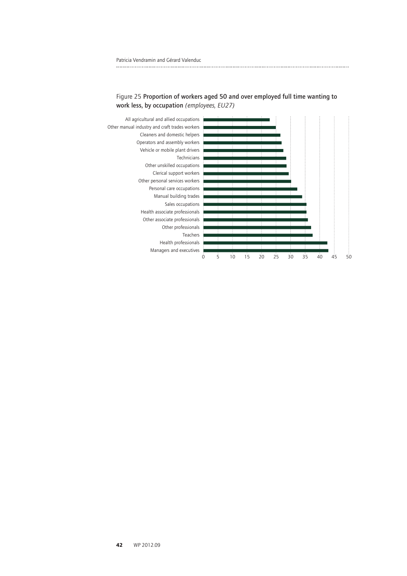



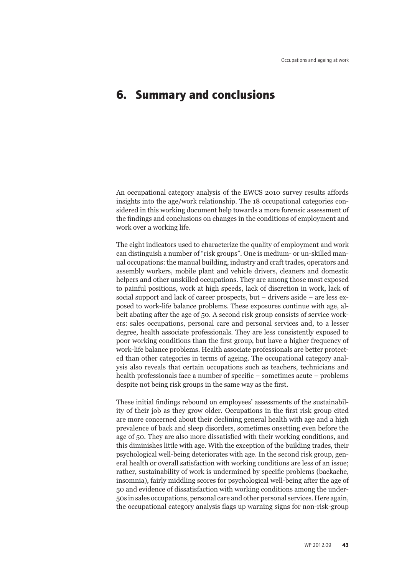## **6. Summary and conclusions**

An occupational category analysis of the EWCS 2010 survey results affords insights into the age/work relationship. The 18 occupational categories considered in this working document help towards a more forensic assessment of the findings and conclusions on changes in the conditions of employment and work over a working life.

The eight indicators used to characterize the quality of employment and work can distinguish a number of "risk groups". One is medium- or un-skilled manual occupations: the manual building, industry and craft trades, operators and assembly workers, mobile plant and vehicle drivers, cleaners and domestic helpers and other unskilled occupations. They are among those most exposed to painful positions, work at high speeds, lack of discretion in work, lack of social support and lack of career prospects, but – drivers aside – are less exposed to work-life balance problems. These exposures continue with age, albeit abating after the age of 50. A second risk group consists of service workers: sales occupations, personal care and personal services and, to a lesser degree, health associate professionals. They are less consistently exposed to poor working conditions than the first group, but have a higher frequency of work-life balance problems. Health associate professionals are better protected than other categories in terms of ageing. The occupational category analysis also reveals that certain occupations such as teachers, technicians and health professionals face a number of specific – sometimes acute – problems despite not being risk groups in the same way as the first.

These initial findings rebound on employees' assessments of the sustainability of their job as they grow older. Occupations in the first risk group cited are more concerned about their declining general health with age and a high prevalence of back and sleep disorders, sometimes onsetting even before the age of 50. They are also more dissatisfied with their working conditions, and this diminishes little with age. With the exception of the building trades, their psychological well-being deteriorates with age. In the second risk group, general health or overall satisfaction with working conditions are less of an issue; rather, sustainability of work is undermined by specific problems (backache, insomnia), fairly middling scores for psychological well-being after the age of 50 and evidence of dissatisfaction with working conditions among the under-50s in sales occupations, personal care and other personal services. Here again, the occupational category analysis flags up warning signs for non-risk-group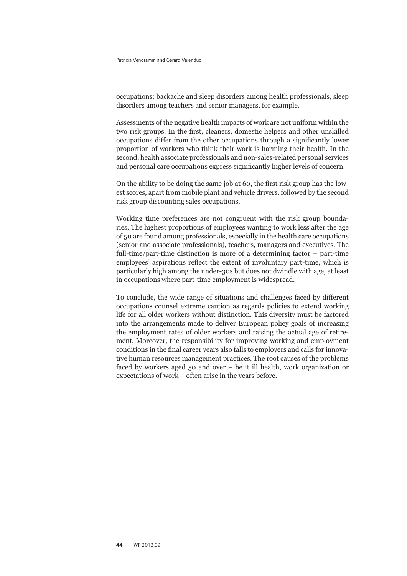occupations: backache and sleep disorders among health professionals, sleep disorders among teachers and senior managers, for example.

Assessments of the negative health impacts of work are not uniform within the two risk groups. In the first, cleaners, domestic helpers and other unskilled occupations differ from the other occupations through a significantly lower proportion of workers who think their work is harming their health. In the second, health associate professionals and non-sales-related personal services and personal care occupations express significantly higher levels of concern.

On the ability to be doing the same job at 60, the first risk group has the lowest scores, apart from mobile plant and vehicle drivers, followed by the second risk group discounting sales occupations.

Working time preferences are not congruent with the risk group boundaries. The highest proportions of employees wanting to work less after the age of 50 are found among professionals, especially in the health care occupations (senior and associate professionals), teachers, managers and executives. The full-time/part-time distinction is more of a determining factor – part-time employees' aspirations reflect the extent of involuntary part-time, which is particularly high among the under-30s but does not dwindle with age, at least in occupations where part-time employment is widespread.

To conclude, the wide range of situations and challenges faced by different occupations counsel extreme caution as regards policies to extend working life for all older workers without distinction. This diversity must be factored into the arrangements made to deliver European policy goals of increasing the employment rates of older workers and raising the actual age of retirement. Moreover, the responsibility for improving working and employment conditions in the final career years also falls to employers and calls for innovative human resources management practices. The root causes of the problems faced by workers aged 50 and over – be it ill health, work organization or expectations of work – often arise in the years before.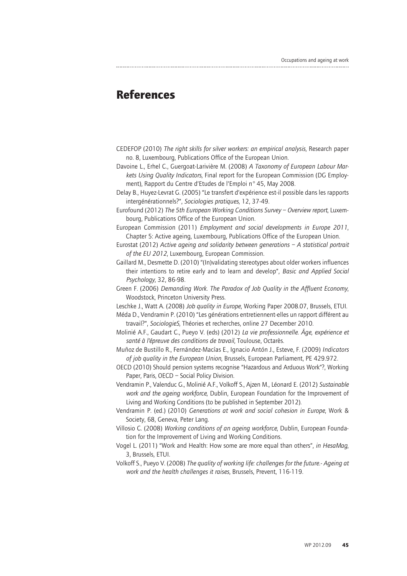### **References**

CEDEFOP (2010) *The right skills for silver workers: an empirical analysis*, Research paper no. 8, Luxembourg, Publications Office of the European Union.

Davoine L., Erhel C., Guergoat-Larivière M. (2008) *A Taxonomy of European Labour Markets Using Quality Indicators*, Final report for the European Commission (DG Employment), Rapport du Centre d'Etudes de l'Emploi n° 45, May 2008.

Delay B., Huyez-Levrat G. (2005) "Le transfert d'expérience est-il possible dans les rapports intergénérationnels?", *Sociologies pratiques*, 12, 37-49.

Eurofound (2012) *The 5th European Working Conditions Survey – Overview report*, Luxembourg, Publications Office of the European Union.

European Commission (2011) *Employment and social developments in Europe 2011*, Chapter 5: Active ageing, Luxembourg, Publications Office of the European Union.

Eurostat (2012) *Active ageing and solidarity between generations – A statistical portrait of the EU 2012*, Luxembourg, European Commission.

Gaillard M., Desmette D. (2010) "(In)validating stereotypes about older workers influences their intentions to retire early and to learn and develop", *Basic and Applied Social Psychology*, 32, 86-98.

Green F. (2006) *Demanding Work. The Paradox of Job Quality in the Affluent Economy*, Woodstock, Princeton University Press.

Leschke J., Watt A. (2008) *Job quality in Europe*, Working Paper 2008.07, Brussels, ETUI.

- Méda D., Vendramin P. (2010) "Les générations entretiennent-elles un rapport différent au travail?", *SociologieS*, Théories et recherches, online 27 December 2010.
- Molinié A.F., Gaudart C., Pueyo V. (eds) (2012) *La vie professionnelle. Âge, expérience et santé à l'épreuve des conditions de travail*, Toulouse, Octarès.
- Muñoz de Bustillo R., Fernández-Macías E., Ignacio Antón J., Esteve, F. (2009) *Indicators of job quality in the European Union*, Brussels, European Parliament, PE 429.972.

OECD (2010) Should pension systems recognise "Hazardous and Arduous Work"?, Working Paper, Paris, OECD – Social Policy Division.

- Vendramin P., Valenduc G., Molinié A.F., Volkoff S., Ajzen M., Léonard E. (2012) *Sustainable work and the ageing workforce*, Dublin, European Foundation for the Improvement of Living and Working Conditions (to be published in September 2012).
- Vendramin P. (ed.) (2010) *Generations at work and social cohesion in Europe*, Work & Society, 68, Geneva, Peter Lang.
- Villosio C. (2008) *Working conditions of an ageing workforce*, Dublin, European Foundation for the Improvement of Living and Working Conditions.
- Vogel L. (2011) "Work and Health: How some are more equal than others", *in HesaMag*, 3, Brussels, ETUI.
- Volkoff S., Pueyo V. (2008) *The quality of working life: challenges for the future.- Ageing at work and the health challenges it raises*, Brussels, Prevent, 116-119.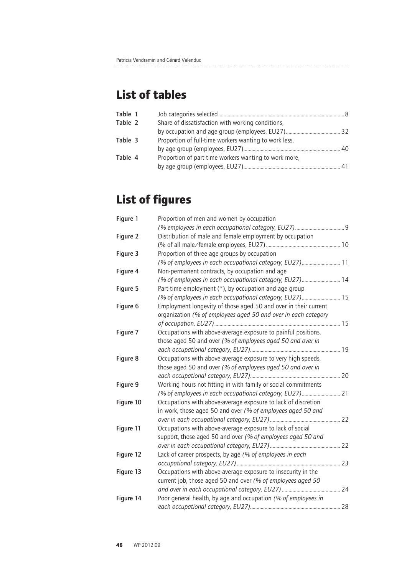## **List of tables**

| Table 1 |                                                       |
|---------|-------------------------------------------------------|
| Table 2 | Share of dissatisfaction with working conditions,     |
|         |                                                       |
| Table 3 | Proportion of full-time workers wanting to work less, |
|         |                                                       |
| Table 4 | Proportion of part-time workers wanting to work more, |
|         |                                                       |

# **List of figures**

| Figure 1  | Proportion of men and women by occupation                       |  |
|-----------|-----------------------------------------------------------------|--|
|           |                                                                 |  |
| Figure 2  | Distribution of male and female employment by occupation        |  |
|           |                                                                 |  |
| Figure 3  | Proportion of three age groups by occupation                    |  |
|           | (% of employees in each occupational category, EU27) 11         |  |
| Figure 4  | Non-permanent contracts, by occupation and age                  |  |
|           | (% of employees in each occupational category, EU27) 14         |  |
| Figure 5  | Part-time employment $(*)$ , by occupation and age group        |  |
|           | (% of employees in each occupational category, EU27) 15         |  |
| Figure 6  | Employment longevity of those aged 50 and over in their current |  |
|           | organization (% of employees aged 50 and over in each category  |  |
|           |                                                                 |  |
| Figure 7  | Occupations with above-average exposure to painful positions,   |  |
|           | those aged 50 and over (% of employees aged 50 and over in      |  |
|           |                                                                 |  |
| Figure 8  | Occupations with above-average exposure to very high speeds,    |  |
|           | those aged 50 and over (% of employees aged 50 and over in      |  |
|           |                                                                 |  |
| Figure 9  | Working hours not fitting in with family or social commitments  |  |
|           | (% of employees in each occupational category, EU27) 21         |  |
| Figure 10 | Occupations with above-average exposure to lack of discretion   |  |
|           | in work, those aged 50 and over (% of employees aged 50 and     |  |
|           |                                                                 |  |
| Figure 11 | Occupations with above-average exposure to lack of social       |  |
|           | support, those aged 50 and over (% of employees aged 50 and     |  |
|           |                                                                 |  |
| Figure 12 | Lack of career prospects, by age (% of employees in each        |  |
|           |                                                                 |  |
| Figure 13 | Occupations with above-average exposure to insecurity in the    |  |
|           | current job, those aged 50 and over (% of employees aged 50     |  |
|           |                                                                 |  |
| Figure 14 | Poor general health, by age and occupation (% of employees in   |  |
|           |                                                                 |  |